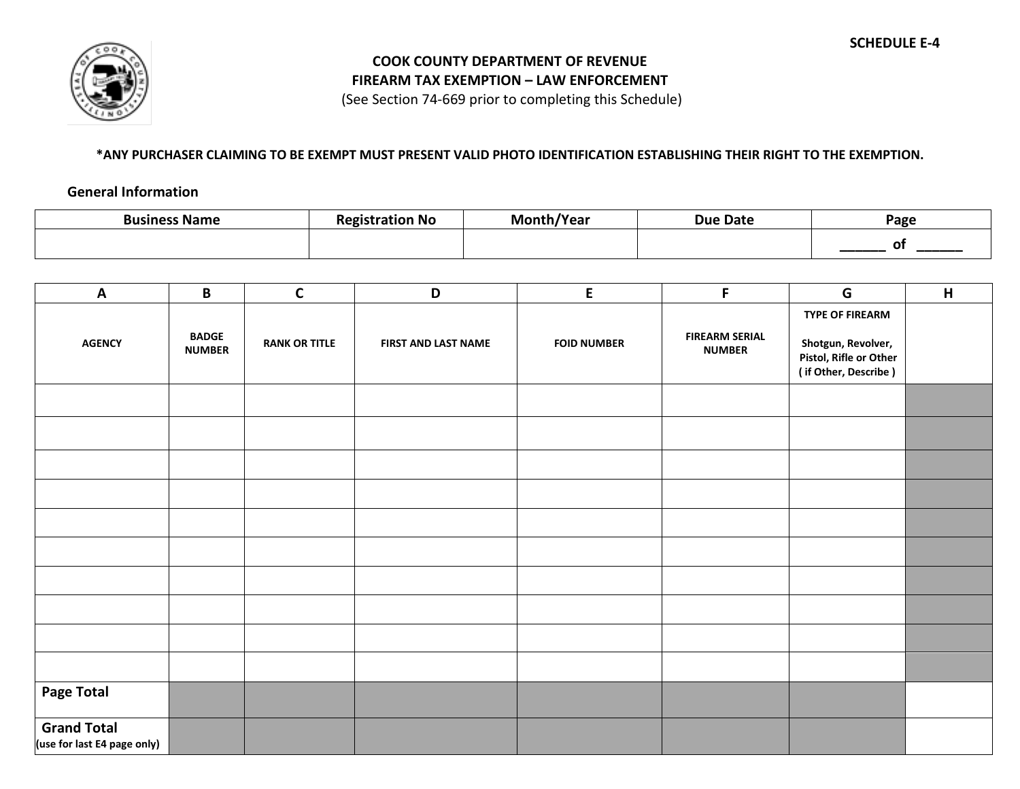

## **COOK COUNTY DEPARTMENT OF REVENUE FIREARM TAX EXEMPTION – LAW ENFORCEMENT**

(See Section 74-669 prior to completing this Schedule)

## **\*ANY PURCHASER CLAIMING TO BE EXEMPT MUST PRESENT VALID PHOTO IDENTIFICATION ESTABLISHING THEIR RIGHT TO THE EXEMPTION.**

## **General Information**

| Business Name | ration No | /Year | <b>Due Date</b> | Page |
|---------------|-----------|-------|-----------------|------|
|               |           |       |                 |      |

| $\mathbf{A}$                                      | B                             | $\mathsf C$          | D                          | E                  | F                                      | G                                                                                              | H |
|---------------------------------------------------|-------------------------------|----------------------|----------------------------|--------------------|----------------------------------------|------------------------------------------------------------------------------------------------|---|
| <b>AGENCY</b>                                     | <b>BADGE</b><br><b>NUMBER</b> | <b>RANK OR TITLE</b> | <b>FIRST AND LAST NAME</b> | <b>FOID NUMBER</b> | <b>FIREARM SERIAL</b><br><b>NUMBER</b> | <b>TYPE OF FIREARM</b><br>Shotgun, Revolver,<br>Pistol, Rifle or Other<br>(if Other, Describe) |   |
|                                                   |                               |                      |                            |                    |                                        |                                                                                                |   |
|                                                   |                               |                      |                            |                    |                                        |                                                                                                |   |
|                                                   |                               |                      |                            |                    |                                        |                                                                                                |   |
|                                                   |                               |                      |                            |                    |                                        |                                                                                                |   |
|                                                   |                               |                      |                            |                    |                                        |                                                                                                |   |
|                                                   |                               |                      |                            |                    |                                        |                                                                                                |   |
|                                                   |                               |                      |                            |                    |                                        |                                                                                                |   |
|                                                   |                               |                      |                            |                    |                                        |                                                                                                |   |
|                                                   |                               |                      |                            |                    |                                        |                                                                                                |   |
| <b>Page Total</b>                                 |                               |                      |                            |                    |                                        |                                                                                                |   |
| <b>Grand Total</b><br>(use for last E4 page only) |                               |                      |                            |                    |                                        |                                                                                                |   |